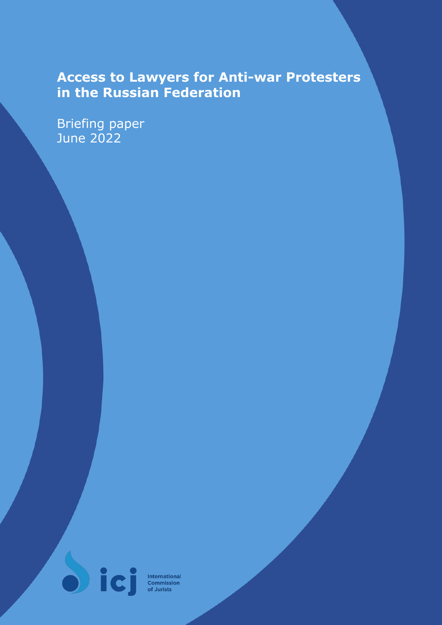# **Access to Lawyers for Anti-war Protesters in the Russian Federation**

Briefing paper June 2022



**International**<br>**Commission**<br>of Jurists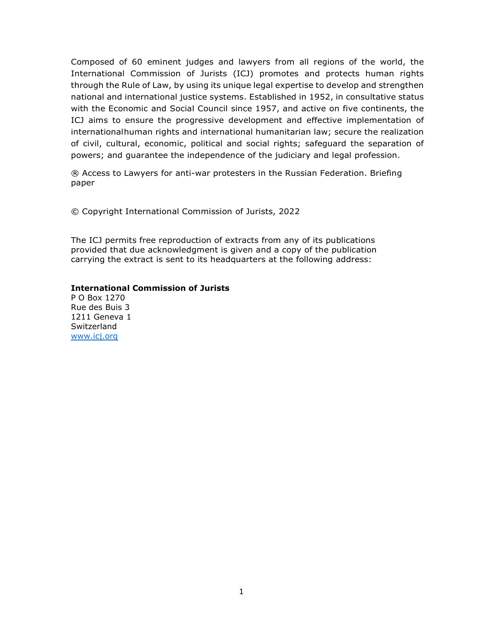Composed of 60 eminent judges and lawyers from all regions of the world, the International Commission of Jurists (ICJ) promotes and protects human rights through the Rule of Law, by using its unique legal expertise to develop and strengthen national and international justice systems. Established in 1952, in consultative status with the Economic and Social Council since 1957, and active on five continents, the ICJ aims to ensure the progressive development and effective implementation of international human rights and international humanitarian law; secure the realization of civil, cultural, economic, political and social rights; safeguard the separation of powers; and guarantee the independence of the judiciary and legal profession.

® Access to Lawyers for anti-war protesters in the Russian Federation. Briefing paper

© Copyright International Commission of Jurists, 2022

The ICJ permits free reproduction of extracts from any of its publications provided that due acknowledgment is given and a copy of the publication carrying the extract is sent to its headquarters at the following address:

#### International Commission of Jurists

P O Box 1270 Rue des Buis 3 1211 Geneva 1 **Switzerland** www.icj.org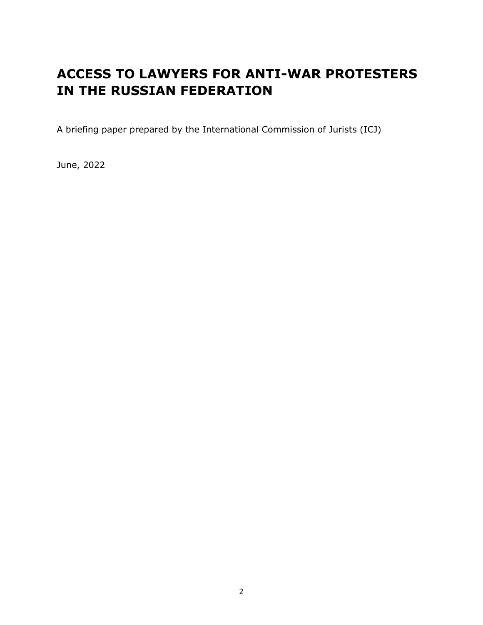## ACCESS TO LAWYERS FOR ANTI-WAR PROTESTERS IN THE RUSSIAN FEDERATION

A briefing paper prepared by the International Commission of Jurists (ICJ)

June, 2022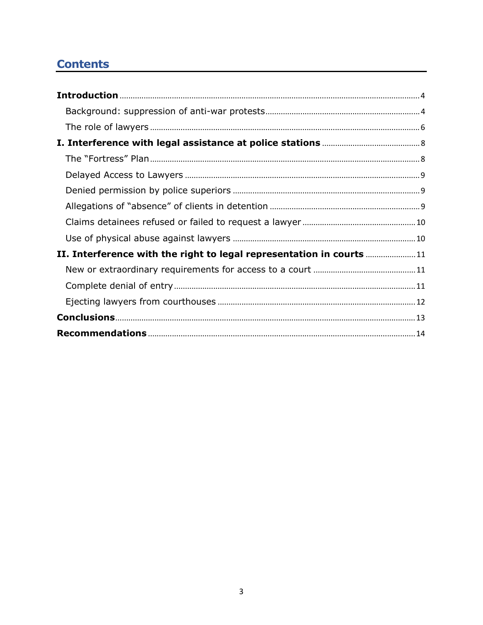## **Contents**

| II. Interference with the right to legal representation in courts  11 |  |
|-----------------------------------------------------------------------|--|
|                                                                       |  |
|                                                                       |  |
|                                                                       |  |
|                                                                       |  |
|                                                                       |  |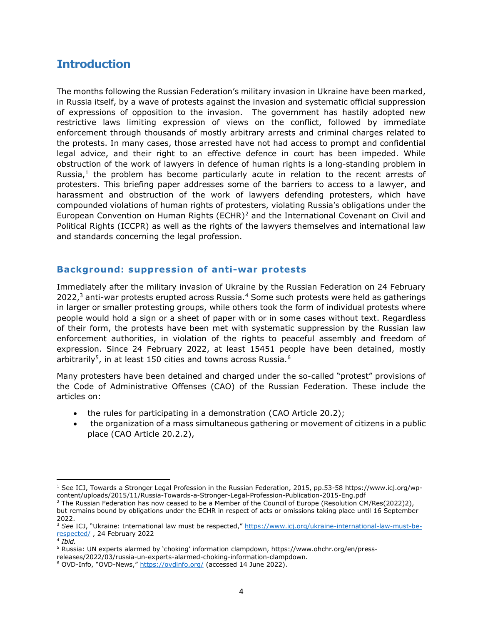## **Introduction**

The months following the Russian Federation's military invasion in Ukraine have been marked, in Russia itself, by a wave of protests against the invasion and systematic official suppression of expressions of opposition to the invasion. The government has hastily adopted new restrictive laws limiting expression of views on the conflict, followed by immediate enforcement through thousands of mostly arbitrary arrests and criminal charges related to the protests. In many cases, those arrested have not had access to prompt and confidential legal advice, and their right to an effective defence in court has been impeded. While obstruction of the work of lawyers in defence of human rights is a long-standing problem in Russia, $<sup>1</sup>$  the problem has become particularly acute in relation to the recent arrests of</sup> protesters. This briefing paper addresses some of the barriers to access to a lawyer, and harassment and obstruction of the work of lawyers defending protesters, which have compounded violations of human rights of protesters, violating Russia's obligations under the European Convention on Human Rights (ECHR)<sup>2</sup> and the International Covenant on Civil and Political Rights (ICCPR) as well as the rights of the lawyers themselves and international law and standards concerning the legal profession.

#### Background: suppression of anti-war protests

Immediately after the military invasion of Ukraine by the Russian Federation on 24 February 2022,<sup>3</sup> anti-war protests erupted across Russia.<sup>4</sup> Some such protests were held as gatherings in larger or smaller protesting groups, while others took the form of individual protests where people would hold a sign or a sheet of paper with or in some cases without text. Regardless of their form, the protests have been met with systematic suppression by the Russian law enforcement authorities, in violation of the rights to peaceful assembly and freedom of expression. Since 24 February 2022, at least 15451 people have been detained, mostly arbitrarily<sup>5</sup>, in at least 150 cities and towns across Russia.<sup>6</sup>

Many protesters have been detained and charged under the so-called "protest" provisions of the Code of Administrative Offenses (CAO) of the Russian Federation. These include the articles on:

- the rules for participating in a demonstration (CAO Article 20.2);
- the organization of a mass simultaneous gathering or movement of citizens in a public place (CAO Article 20.2.2),

<sup>1</sup> See ICJ, Towards a Stronger Legal Profession in the Russian Federation, 2015, pp.53-58 https://www.icj.org/wpcontent/uploads/2015/11/Russia-Towards-a-Stronger-Legal-Profession-Publication-2015-Eng.pdf

<sup>&</sup>lt;sup>2</sup> The Russian Federation has now ceased to be a Member of the Council of Europe (Resolution CM/Res(2022)2), but remains bound by obligations under the ECHR in respect of acts or omissions taking place until 16 September 2022.

<sup>&</sup>lt;sup>3</sup> See ICJ, "Ukraine: International law must be respected," https://www.icj.org/ukraine-international-law-must-berespected/ , 24 February 2022

 $4$  Ibid.

<sup>&</sup>lt;sup>5</sup> Russia: UN experts alarmed by 'choking' information clampdown, https://www.ohchr.org/en/press-

releases/2022/03/russia-un-experts-alarmed-choking-information-clampdown.

<sup>&</sup>lt;sup>6</sup> OVD-Info, "OVD-News," https://ovdinfo.org/ (accessed 14 June 2022).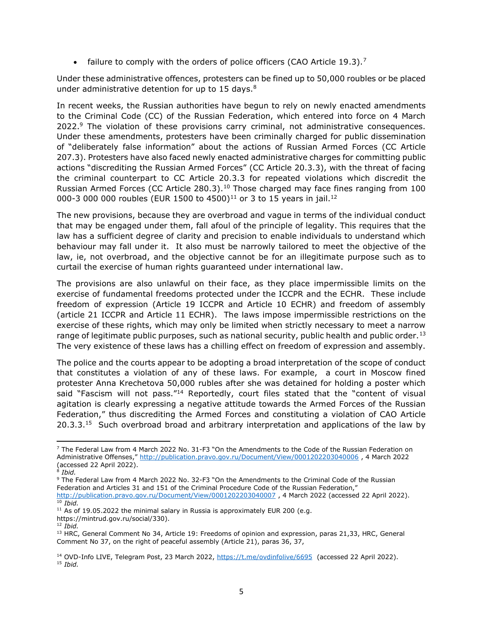• failure to comply with the orders of police officers (CAO Article 19.3).<sup>7</sup>

Under these administrative offences, protesters can be fined up to 50,000 roubles or be placed under administrative detention for up to 15 days. $8<sup>8</sup>$ 

In recent weeks, the Russian authorities have begun to rely on newly enacted amendments to the Criminal Code (CC) of the Russian Federation, which entered into force on 4 March 2022.<sup>9</sup> The violation of these provisions carry criminal, not administrative consequences. Under these amendments, protesters have been criminally charged for public dissemination of "deliberately false information" about the actions of Russian Armed Forces (CC Article 207.3). Protesters have also faced newly enacted administrative charges for committing public actions "discrediting the Russian Armed Forces" (CC Article 20.3.3), with the threat of facing the criminal counterpart to CC Article 20.3.3 for repeated violations which discredit the Russian Armed Forces (CC Article 280.3).<sup>10</sup> Those charged may face fines ranging from 100 000-3 000 000 roubles (EUR 1500 to 4500)<sup>11</sup> or 3 to 15 years in jail.<sup>12</sup>

The new provisions, because they are overbroad and vague in terms of the individual conduct that may be engaged under them, fall afoul of the principle of legality. This requires that the law has a sufficient degree of clarity and precision to enable individuals to understand which behaviour may fall under it. It also must be narrowly tailored to meet the objective of the law, ie, not overbroad, and the objective cannot be for an illegitimate purpose such as to curtail the exercise of human rights guaranteed under international law.

The provisions are also unlawful on their face, as they place impermissible limits on the exercise of fundamental freedoms protected under the ICCPR and the ECHR. These include freedom of expression (Article 19 ICCPR and Article 10 ECHR) and freedom of assembly (article 21 ICCPR and Article 11 ECHR). The laws impose impermissible restrictions on the exercise of these rights, which may only be limited when strictly necessary to meet a narrow range of legitimate public purposes, such as national security, public health and public order.<sup>13</sup> The very existence of these laws has a chilling effect on freedom of expression and assembly.

The police and the courts appear to be adopting a broad interpretation of the scope of conduct that constitutes a violation of any of these laws. For example, a court in Moscow fined protester Anna Krechetova 50,000 rubles after she was detained for holding a poster which said "Fascism will not pass."<sup>14</sup> Reportedly, court files stated that the "content of visual agitation is clearly expressing a negative attitude towards the Armed Forces of the Russian Federation," thus discrediting the Armed Forces and constituting a violation of CAO Article  $20.3.3^{15}$  Such overbroad broad and arbitrary interpretation and applications of the law by

<sup>7</sup> The Federal Law from 4 March 2022 No. 31-F3 "On the Amendments to the Code of the Russian Federation on Administrative Offenses," http://publication.pravo.gov.ru/Document/View/0001202203040006 , 4 March 2022 (accessed 22 April 2022).

 $^8$  Ibid.

<sup>&</sup>lt;sup>9</sup> The Federal Law from 4 March 2022 No. 32-F3 "On the Amendments to the Criminal Code of the Russian Federation and Articles 31 and 151 of the Criminal Procedure Code of the Russian Federation," http://publication.pravo.gov.ru/Document/View/0001202203040007, 4 March 2022 (accessed 22 April 2022).  $10$  Ibid.

 $11$  As of 19.05.2022 the minimal salary in Russia is approximately EUR 200 (e.g.

https://mintrud.gov.ru/social/330).

 $12$  Ibid.

<sup>&</sup>lt;sup>13</sup> HRC, General Comment No 34, Article 19: Freedoms of opinion and expression, paras 21,33, HRC, General Comment No 37, on the right of peaceful assembly (Article 21), paras 36, 37,

<sup>&</sup>lt;sup>14</sup> OVD-Info LIVE, Telegram Post, 23 March 2022, https://t.me/ovdinfolive/6695 (accessed 22 April 2022).  $15$  Ibid.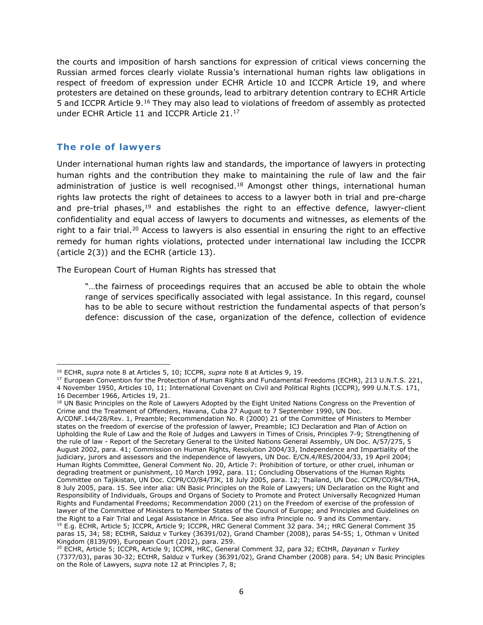the courts and imposition of harsh sanctions for expression of critical views concerning the Russian armed forces clearly violate Russia's international human rights law obligations in respect of freedom of expression under ECHR Article 10 and ICCPR Article 19, and where protesters are detained on these grounds, lead to arbitrary detention contrary to ECHR Article 5 and ICCPR Article 9.<sup>16</sup> They may also lead to violations of freedom of assembly as protected under ECHR Article 11 and ICCPR Article 21.<sup>17</sup>

#### The role of lawyers

Under international human rights law and standards, the importance of lawyers in protecting human rights and the contribution they make to maintaining the rule of law and the fair administration of justice is well recognised.<sup>18</sup> Amongst other things, international human rights law protects the right of detainees to access to a lawyer both in trial and pre-charge and pre-trial phases, $19$  and establishes the right to an effective defence, lawyer-client confidentiality and equal access of lawyers to documents and witnesses, as elements of the right to a fair trial.<sup>20</sup> Access to lawyers is also essential in ensuring the right to an effective remedy for human rights violations, protected under international law including the ICCPR (article 2(3)) and the ECHR (article 13).

The European Court of Human Rights has stressed that

"…the fairness of proceedings requires that an accused be able to obtain the whole range of services specifically associated with legal assistance. In this regard, counsel has to be able to secure without restriction the fundamental aspects of that person's defence: discussion of the case, organization of the defence, collection of evidence

<sup>&</sup>lt;sup>16</sup> ECHR, supra note 8 at Articles 5, 10; ICCPR, supra note 8 at Articles 9, 19.

<sup>&</sup>lt;sup>17</sup> European Convention for the Protection of Human Rights and Fundamental Freedoms (ECHR), 213 U.N.T.S. 221, 4 November 1950, Articles 10, 11; International Covenant on Civil and Political Rights (ICCPR), 999 U.N.T.S. 171, 16 December 1966, Articles 19, 21.

<sup>&</sup>lt;sup>18</sup> UN Basic Principles on the Role of Lawyers Adopted by the Eight United Nations Congress on the Prevention of Crime and the Treatment of Offenders, Havana, Cuba 27 August to 7 September 1990, UN Doc.

A/CONF.144/28/Rev. 1, Preamble; Recommendation No. R (2000) 21 of the Committee of Ministers to Member states on the freedom of exercise of the profession of lawyer, Preamble; ICJ Declaration and Plan of Action on Upholding the Rule of Law and the Role of Judges and Lawyers in Times of Crisis, Principles 7-9; Strengthening of the rule of law - Report of the Secretary General to the United Nations General Assembly, UN Doc. A/57/275, 5 August 2002, para. 41; Commission on Human Rights, Resolution 2004/33, Independence and Impartiality of the judiciary, jurors and assessors and the independence of lawyers, UN Doc. E/CN.4/RES/2004/33, 19 April 2004; Human Rights Committee, General Comment No. 20, Article 7: Prohibition of torture, or other cruel, inhuman or degrading treatment or punishment, 10 March 1992, para. 11; Concluding Observations of the Human Rights Committee on Tajikistan, UN Doc. CCPR/CO/84/TJK, 18 July 2005, para. 12; Thailand, UN Doc. CCPR/CO/84/THA, 8 July 2005, para. 15. See inter alia: UN Basic Principles on the Role of Lawyers; UN Declaration on the Right and Responsibility of Individuals, Groups and Organs of Society to Promote and Protect Universally Recognized Human Rights and Fundamental Freedoms; Recommendation 2000 (21) on the Freedom of exercise of the profession of lawyer of the Committee of Ministers to Member States of the Council of Europe; and Principles and Guidelines on the Right to a Fair Trial and Legal Assistance in Africa. See also infra Principle no. 9 and its Commentary. <sup>19</sup> E.g. ECHR, Article 5; ICCPR, Article 9; ICCPR, HRC General Comment 32 para. 34;; HRC General Comment 35 paras 15, 34; 58; ECtHR, Salduz v Turkey (36391/02), Grand Chamber (2008), paras 54-55; 1, Othman v United Kingdom (8139/09), European Court (2012), para. 259.

<sup>&</sup>lt;sup>20</sup> ECHR, Article 5; ICCPR, Article 9; ICCPR, HRC, General Comment 32, para 32; ECtHR, Dayanan v Turkey (7377/03), paras 30-32; ECtHR, Salduz v Turkey (36391/02), Grand Chamber (2008) para. 54; UN Basic Principles on the Role of Lawyers, supra note 12 at Principles 7, 8;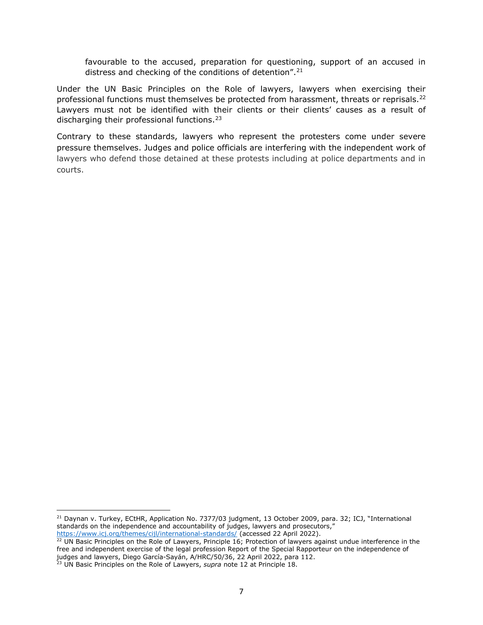favourable to the accused, preparation for questioning, support of an accused in distress and checking of the conditions of detention".  $21$ 

Under the UN Basic Principles on the Role of lawyers, lawyers when exercising their professional functions must themselves be protected from harassment, threats or reprisals.<sup>22</sup> Lawyers must not be identified with their clients or their clients' causes as a result of discharging their professional functions.<sup>23</sup>

Contrary to these standards, lawyers who represent the protesters come under severe pressure themselves. Judges and police officials are interfering with the independent work of lawyers who defend those detained at these protests including at police departments and in courts.

<sup>&</sup>lt;sup>21</sup> Daynan v. Turkey, ECtHR, Application No. 7377/03 judgment, 13 October 2009, para. 32; ICJ, "International standards on the independence and accountability of judges, lawyers and prosecutors," https://www.icj.org/themes/cijl/international-standards/ (accessed 22 April 2022).

 $22$  UN Basic Principles on the Role of Lawyers, Principle 16; Protection of lawyers against undue interference in the free and independent exercise of the legal profession Report of the Special Rapporteur on the independence of judges and lawyers, Diego García-Sayán, A/HRC/50/36, 22 April 2022, para 112.

<sup>&</sup>lt;sup>23</sup> UN Basic Principles on the Role of Lawyers, supra note 12 at Principle 18.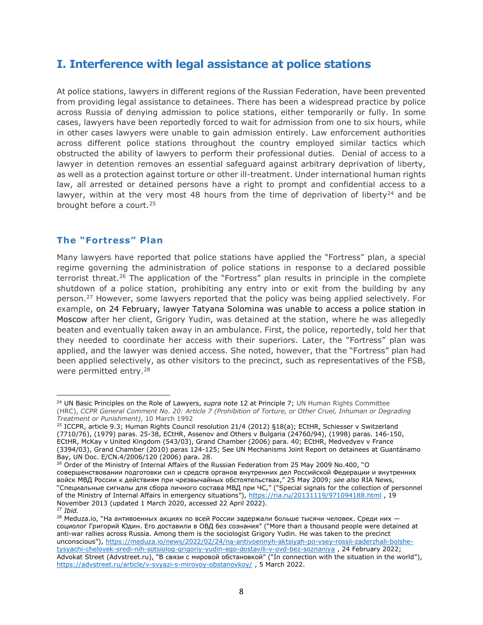## I. Interference with legal assistance at police stations

At police stations, lawyers in different regions of the Russian Federation, have been prevented from providing legal assistance to detainees. There has been a widespread practice by police across Russia of denying admission to police stations, either temporarily or fully. In some cases, lawyers have been reportedly forced to wait for admission from one to six hours, while in other cases lawyers were unable to gain admission entirely. Law enforcement authorities across different police stations throughout the country employed similar tactics which obstructed the ability of lawyers to perform their professional duties. Denial of access to a lawyer in detention removes an essential safeguard against arbitrary deprivation of liberty, as well as a protection against torture or other ill-treatment. Under international human rights law, all arrested or detained persons have a right to prompt and confidential access to a lawyer, within at the very most 48 hours from the time of deprivation of liberty<sup>24</sup> and be brought before a court.<sup>25</sup>

#### The "Fortress" Plan

Many lawyers have reported that police stations have applied the "Fortress" plan, a special regime governing the administration of police stations in response to a declared possible terrorist threat.<sup>26</sup> The application of the "Fortress" plan results in principle in the complete shutdown of a police station, prohibiting any entry into or exit from the building by any person.<sup>27</sup> However, some lawyers reported that the policy was being applied selectively. For example, on 24 February, lawyer Tatyana Solomina was unable to access a police station in Moscow after her client, Grigory Yudin, was detained at the station, where he was allegedly beaten and eventually taken away in an ambulance. First, the police, reportedly, told her that they needed to coordinate her access with their superiors. Later, the "Fortress" plan was applied, and the lawyer was denied access. She noted, however, that the "Fortress" plan had been applied selectively, as other visitors to the precinct, such as representatives of the FSB, were permitted entry.<sup>28</sup>

<sup>&</sup>lt;sup>24</sup> UN Basic Principles on the Role of Lawyers, supra note 12 at Principle 7; UN Human Rights Committee (HRC), CCPR General Comment No. 20: Article 7 (Prohibition of Torture, or Other Cruel, Inhuman or Degrading Treatment or Punishment), 10 March 1992

<sup>&</sup>lt;sup>25</sup> ICCPR, article 9.3; Human Rights Council resolution 21/4 (2012) §18(a); ECtHR, Schiesser v Switzerland (7710/76), (1979) paras. 25-38, ECtHR, Assenov and Others v Bulgaria (24760/94), (1998) paras. 146-150, ECtHR, McKay v United Kingdom (543/03), Grand Chamber (2006) para. 40; ECtHR, Medvedyev v France (3394/03), Grand Chamber (2010) paras 124-125; See UN Mechanisms Joint Report on detainees at Guantánamo Bay, UN Doc. E/CN.4/2006/120 (2006) para. 28.

<sup>26</sup> Order of the Ministry of Internal Affairs of the Russian Federation from 25 May 2009 No.400, "О совершенствовании подготовки сил и средств органов внутренних дел Российской Федерации и внутренних войск МВД России к действиям при чрезвычайных обстоятельствах," 25 May 2009; see also RIA News, "Специальные сигналы для сбора личного состава МВД при ЧС," ("Special signals for the collection of personnel of the Ministry of Internal Affairs in emergency situations"), https://ria.ru/20131119/971094188.html , 19 November 2013 (updated 1 March 2020, accessed 22 April 2022).  $27$  Ibid.

 $28$  Meduza.io, "На антивоенных акциях по всей России задержали больше тысячи человек. Среди них социолог Григорий Юдин. Его доставили в ОВД без сознания" ("More than a thousand people were detained at anti-war rallies across Russia. Among them is the sociologist Grigory Yudin. He was taken to the precinct unconscious"), https://meduza.io/news/2022/02/24/na-antivoennyh-aktsiyah-po-vsey-rossii-zaderzhali-bolshetysyachi-chelovek-sredi-nih-sotsiolog-grigoriy-yudin-ego-dostavili-v-ovd-bez-soznaniya , 24 February 2022; Advokat Street (Advstreet.ru), "В связи с мировой обстановкой" ("In connection with the situation in the world"), https://advstreet.ru/article/v-svyazi-s-mirovoy-obstanovkoy/, 5 March 2022.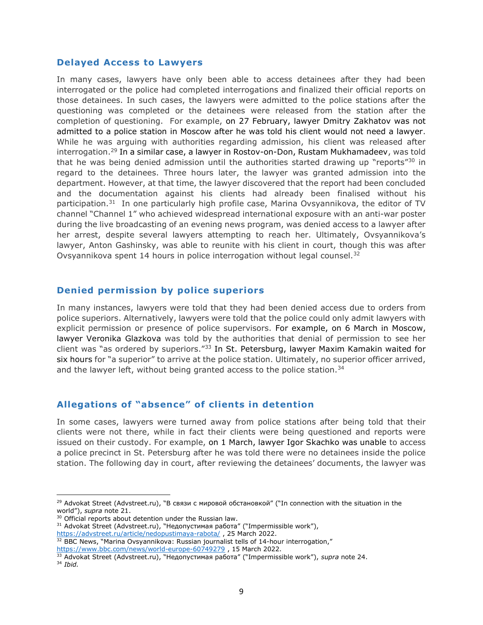#### Delayed Access to Lawyers

In many cases, lawyers have only been able to access detainees after they had been interrogated or the police had completed interrogations and finalized their official reports on those detainees. In such cases, the lawyers were admitted to the police stations after the questioning was completed or the detainees were released from the station after the completion of questioning. For example, on 27 February, lawyer Dmitry Zakhatov was not admitted to a police station in Moscow after he was told his client would not need a lawyer. While he was arguing with authorities regarding admission, his client was released after interrogation.<sup>29</sup> In a similar case, a lawyer in Rostov-on-Don, Rustam Mukhamadeev, was told that he was being denied admission until the authorities started drawing up "reports"<sup>30</sup> in regard to the detainees. Three hours later, the lawyer was granted admission into the department. However, at that time, the lawyer discovered that the report had been concluded and the documentation against his clients had already been finalised without his participation. $31$  In one particularly high profile case, Marina Ovsyannikova, the editor of TV channel "Channel 1" who achieved widespread international exposure with an anti-war poster during the live broadcasting of an evening news program, was denied access to a lawyer after her arrest, despite several lawyers attempting to reach her. Ultimately, Ovsyannikova's lawyer, Anton Gashinsky, was able to reunite with his client in court, though this was after Ovsyannikova spent 14 hours in police interrogation without legal counsel.<sup>32</sup>

#### Denied permission by police superiors

In many instances, lawyers were told that they had been denied access due to orders from police superiors. Alternatively, lawyers were told that the police could only admit lawyers with explicit permission or presence of police supervisors. For example, on 6 March in Moscow, lawyer Veronika Glazkova was told by the authorities that denial of permission to see her client was "as ordered by superiors."<sup>33</sup> In St. Petersburg, lawyer Maxim Kamakin waited for six hours for "a superior" to arrive at the police station. Ultimately, no superior officer arrived, and the lawyer left, without being granted access to the police station.<sup>34</sup>

#### Allegations of "absence" of clients in detention

In some cases, lawyers were turned away from police stations after being told that their clients were not there, while in fact their clients were being questioned and reports were issued on their custody. For example, on 1 March, lawyer Igor Skachko was unable to access a police precinct in St. Petersburg after he was told there were no detainees inside the police station. The following day in court, after reviewing the detainees' documents, the lawyer was

<sup>&</sup>lt;sup>29</sup> Advokat Street (Advstreet.ru), "В связи с мировой обстановкой" ("In connection with the situation in the world"), supra note 21.

<sup>&</sup>lt;sup>30</sup> Official reports about detention under the Russian law.

<sup>&</sup>lt;sup>31</sup> Advokat Street (Advstreet.ru), "Недопустимая работа" ("Impermissible work"),

https://advstreet.ru/article/nedopustimaya-rabota/, 25 March 2022.

 $32$  BBC News, "Marina Ovsyannikova: Russian journalist tells of 14-hour interrogation,"

https://www.bbc.com/news/world-europe-60749279, 15 March 2022.

<sup>&</sup>lt;sup>33</sup> Advokat Street (Advstreet.ru), "Недопустимая работа" ("Impermissible work"), supra note 24.

<sup>34</sup> Ibid.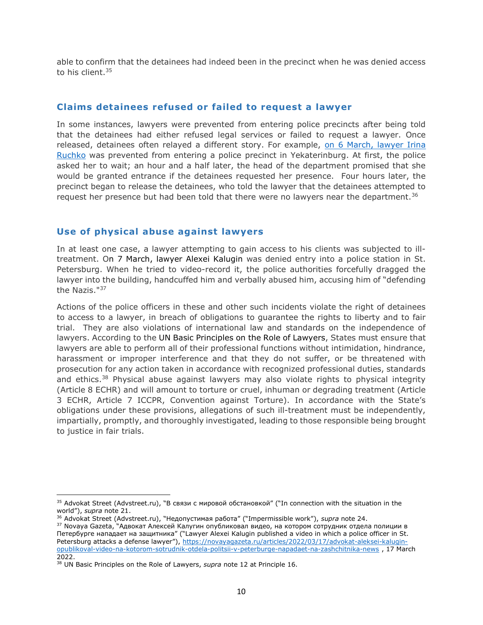able to confirm that the detainees had indeed been in the precinct when he was denied access to his client.<sup>35</sup>

#### Claims detainees refused or failed to request a lawyer

In some instances, lawyers were prevented from entering police precincts after being told that the detainees had either refused legal services or failed to request a lawyer. Once released, detainees often relayed a different story. For example, on 6 March, lawyer Irina Ruchko was prevented from entering a police precinct in Yekaterinburg. At first, the police asked her to wait; an hour and a half later, the head of the department promised that she would be granted entrance if the detainees requested her presence. Four hours later, the precinct began to release the detainees, who told the lawyer that the detainees attempted to request her presence but had been told that there were no lawyers near the department.<sup>36</sup>

#### Use of physical abuse against lawyers

In at least one case, a lawyer attempting to gain access to his clients was subjected to illtreatment. On 7 March, lawyer Alexei Kalugin was denied entry into a police station in St. Petersburg. When he tried to video-record it, the police authorities forcefully dragged the lawyer into the building, handcuffed him and verbally abused him, accusing him of "defending the Nazis."<sup>37</sup>

Actions of the police officers in these and other such incidents violate the right of detainees to access to a lawyer, in breach of obligations to guarantee the rights to liberty and to fair trial. They are also violations of international law and standards on the independence of lawyers. According to the UN Basic Principles on the Role of Lawyers, States must ensure that lawyers are able to perform all of their professional functions without intimidation, hindrance, harassment or improper interference and that they do not suffer, or be threatened with prosecution for any action taken in accordance with recognized professional duties, standards and ethics. $38$  Physical abuse against lawyers may also violate rights to physical integrity (Article 8 ECHR) and will amount to torture or cruel, inhuman or degrading treatment (Article 3 ECHR, Article 7 ICCPR, Convention against Torture). In accordance with the State's obligations under these provisions, allegations of such ill-treatment must be independently, impartially, promptly, and thoroughly investigated, leading to those responsible being brought to justice in fair trials.

<sup>&</sup>lt;sup>35</sup> Advokat Street (Advstreet.ru), "В связи с мировой обстановкой" ("In connection with the situation in the world"), supra note 21.

<sup>&</sup>lt;sup>36</sup> Advokat Street (Advstreet.ru), "Недопустимая работа" ("Impermissible work"), *supra* note 24.

<sup>&</sup>lt;sup>37</sup> Novaya Gazeta, "Адвокат Алексей Калугин опубликовал видео, на котором сотрудник отдела полиции в Петербурге нападает на защитника" ("Lawyer Alexei Kalugin published a video in which a police officer in St. Petersburg attacks a defense lawyer"), https://novayagazeta.ru/articles/2022/03/17/advokat-aleksei-kaluginopublikoval-video-na-kotorom-sotrudnik-otdela-politsii-v-peterburge-napadaet-na-zashchitnika-news , 17 March 2022.

<sup>&</sup>lt;sup>38</sup> UN Basic Principles on the Role of Lawyers, supra note 12 at Principle 16.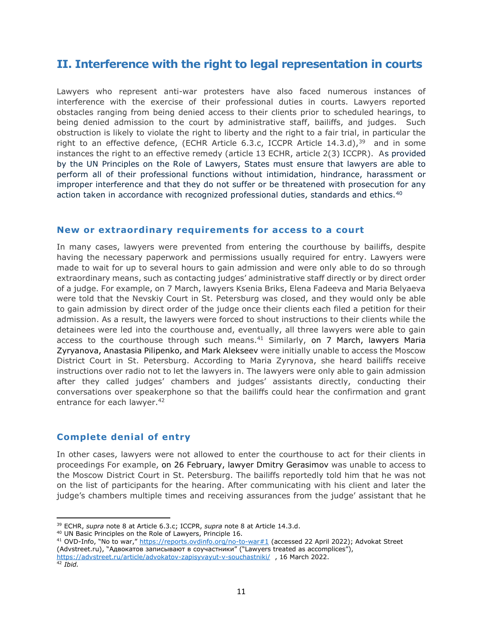## II. Interference with the right to legal representation in courts

Lawyers who represent anti-war protesters have also faced numerous instances of interference with the exercise of their professional duties in courts. Lawyers reported obstacles ranging from being denied access to their clients prior to scheduled hearings, to being denied admission to the court by administrative staff, bailiffs, and judges. Such obstruction is likely to violate the right to liberty and the right to a fair trial, in particular the right to an effective defence, (ECHR Article 6.3.c, ICCPR Article 14.3.d), $39$  and in some instances the right to an effective remedy (article 13 ECHR, article 2(3) ICCPR). As provided by the UN Principles on the Role of Lawyers, States must ensure that lawyers are able to perform all of their professional functions without intimidation, hindrance, harassment or improper interference and that they do not suffer or be threatened with prosecution for any action taken in accordance with recognized professional duties, standards and ethics.<sup>40</sup>

#### New or extraordinary requirements for access to a court

In many cases, lawyers were prevented from entering the courthouse by bailiffs, despite having the necessary paperwork and permissions usually required for entry. Lawyers were made to wait for up to several hours to gain admission and were only able to do so through extraordinary means, such as contacting judges' administrative staff directly or by direct order of a judge. For example, on 7 March, lawyers Ksenia Briks, Elena Fadeeva and Maria Belyaeva were told that the Nevskiy Court in St. Petersburg was closed, and they would only be able to gain admission by direct order of the judge once their clients each filed a petition for their admission. As a result, the lawyers were forced to shout instructions to their clients while the detainees were led into the courthouse and, eventually, all three lawyers were able to gain access to the courthouse through such means. $41$  Similarly, on 7 March, lawyers Maria Zyryanova, Anastasia Pilipenko, and Mark Alekseev were initially unable to access the Moscow District Court in St. Petersburg. According to Maria Zyrynova, she heard bailiffs receive instructions over radio not to let the lawyers in. The lawyers were only able to gain admission after they called judges' chambers and judges' assistants directly, conducting their conversations over speakerphone so that the bailiffs could hear the confirmation and grant entrance for each lawyer.<sup>42</sup>

#### Complete denial of entry

In other cases, lawyers were not allowed to enter the courthouse to act for their clients in proceedings For example, on 26 February, lawyer Dmitry Gerasimov was unable to access to the Moscow District Court in St. Petersburg. The bailiffs reportedly told him that he was not on the list of participants for the hearing. After communicating with his client and later the judge's chambers multiple times and receiving assurances from the judge' assistant that he

<sup>40</sup> UN Basic Principles on the Role of Lawyers, Principle 16.

<sup>41</sup> OVD-Info, "No to war," https://reports.ovdinfo.org/no-to-war#1 (accessed 22 April 2022); Advokat Street (Advstreet.ru), "Адвокатов записывают в соучастники" ("Lawyers treated as accomplices"), https://advstreet.ru/article/advokatov-zapisyvayut-v-souchastniki/ , 16 March 2022.

<sup>&</sup>lt;sup>39</sup> ECHR, supra note 8 at Article 6.3.c; ICCPR, supra note 8 at Article 14.3.d.

 $42$  Ibid.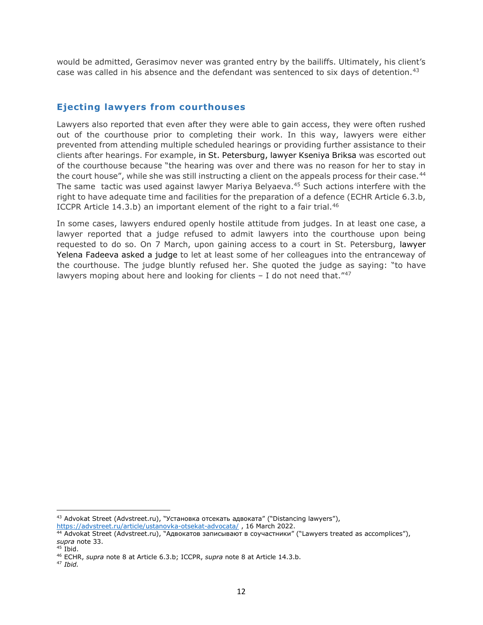would be admitted, Gerasimov never was granted entry by the bailiffs. Ultimately, his client's case was called in his absence and the defendant was sentenced to six days of detention.<sup>43</sup>

#### Ejecting lawyers from courthouses

Lawyers also reported that even after they were able to gain access, they were often rushed out of the courthouse prior to completing their work. In this way, lawyers were either prevented from attending multiple scheduled hearings or providing further assistance to their clients after hearings. For example, in St. Petersburg, lawyer Kseniya Briksa was escorted out of the courthouse because "the hearing was over and there was no reason for her to stay in the court house", while she was still instructing a client on the appeals process for their case.<sup>44</sup> The same tactic was used against lawyer Mariya Belyaeva.<sup>45</sup> Such actions interfere with the right to have adequate time and facilities for the preparation of a defence (ECHR Article 6.3.b, ICCPR Article 14.3.b) an important element of the right to a fair trial.<sup>46</sup>

In some cases, lawyers endured openly hostile attitude from judges. In at least one case, a lawyer reported that a judge refused to admit lawyers into the courthouse upon being requested to do so. On 7 March, upon gaining access to a court in St. Petersburg, lawyer Yelena Fadeeva asked a judge to let at least some of her colleagues into the entranceway of the courthouse. The judge bluntly refused her. She quoted the judge as saying: "to have lawyers moping about here and looking for clients  $-1$  do not need that.<sup>"47</sup>

<sup>43</sup> Advokat Street (Advstreet.ru), "Установка отсекать адвоката" ("Distancing lawyers"), https://advstreet.ru/article/ustanovka-otsekat-advocata/, 16 March 2022.

<sup>44</sup> Advokat Street (Advstreet.ru), "Адвокатов записывают в соучастники" ("Lawyers treated as accomplices"), supra note 33.

 $45$  Ibid.

<sup>&</sup>lt;sup>46</sup> ECHR, supra note 8 at Article 6.3.b; ICCPR, supra note 8 at Article 14.3.b.

<sup>47</sup> Ibid.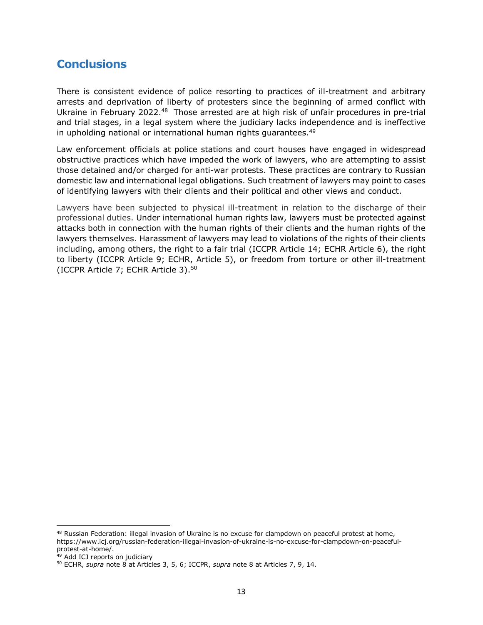### **Conclusions**

There is consistent evidence of police resorting to practices of ill-treatment and arbitrary arrests and deprivation of liberty of protesters since the beginning of armed conflict with Ukraine in February 2022.<sup>48</sup> Those arrested are at high risk of unfair procedures in pre-trial and trial stages, in a legal system where the judiciary lacks independence and is ineffective in upholding national or international human rights quarantees.<sup>49</sup>

Law enforcement officials at police stations and court houses have engaged in widespread obstructive practices which have impeded the work of lawyers, who are attempting to assist those detained and/or charged for anti-war protests. These practices are contrary to Russian domestic law and international legal obligations. Such treatment of lawyers may point to cases of identifying lawyers with their clients and their political and other views and conduct.

Lawyers have been subjected to physical ill-treatment in relation to the discharge of their professional duties. Under international human rights law, lawyers must be protected against attacks both in connection with the human rights of their clients and the human rights of the lawyers themselves. Harassment of lawyers may lead to violations of the rights of their clients including, among others, the right to a fair trial (ICCPR Article 14; ECHR Article 6), the right to liberty (ICCPR Article 9; ECHR, Article 5), or freedom from torture or other ill-treatment (ICCPR Article 7; ECHR Article 3).<sup>50</sup>

<sup>&</sup>lt;sup>48</sup> Russian Federation: illegal invasion of Ukraine is no excuse for clampdown on peaceful protest at home, https://www.icj.org/russian-federation-illegal-invasion-of-ukraine-is-no-excuse-for-clampdown-on-peacefulprotest-at-home/.

<sup>49</sup> Add ICJ reports on judiciary

<sup>50</sup> ECHR, supra note 8 at Articles 3, 5, 6; ICCPR, supra note 8 at Articles 7, 9, 14.